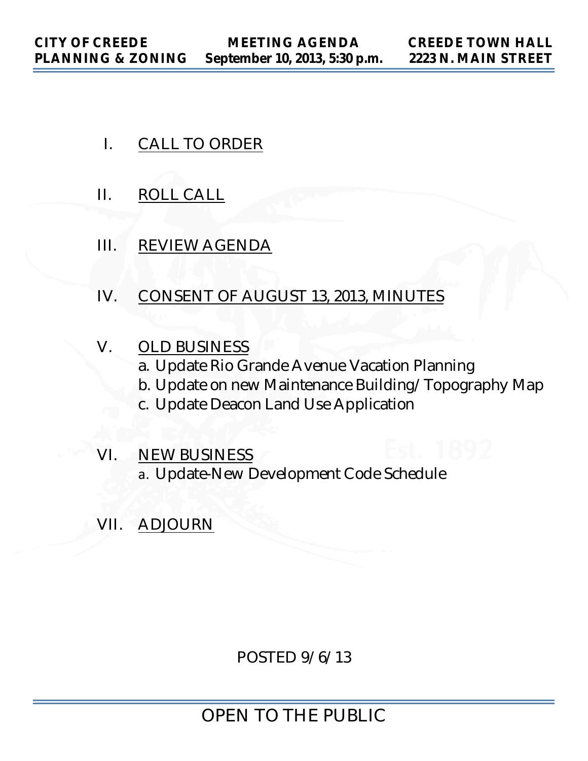- I. CALL TO ORDER
- II. ROLL CALL
- III. REVIEW AGENDA
- IV. CONSENT OF AUGUST 13, 2013, MINUTES
- V. OLD BUSINESS a. Update Rio Grande Avenue Vacation Planning b. Update on new Maintenance Building/Topography Map c. Update Deacon Land Use Application
- VI. NEW BUSINESS a. Update-New Development Code Schedule
- VII. ADJOURN

POSTED 9/6/13